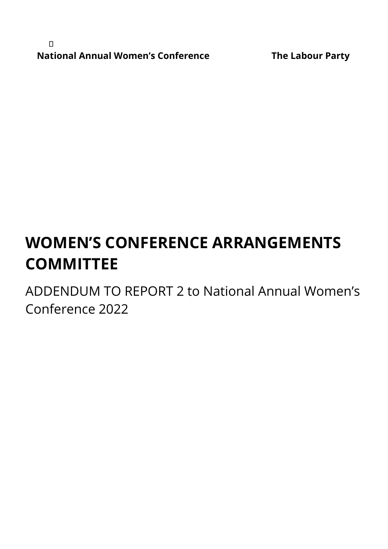$\Box$ **National Annual Women's Conference The Labour Party**

# **WOMEN'S CONFERENCE ARRANGEMENTS COMMITTEE**

ADDENDUM TO REPORT 2 to National Annual Women's Conference 2022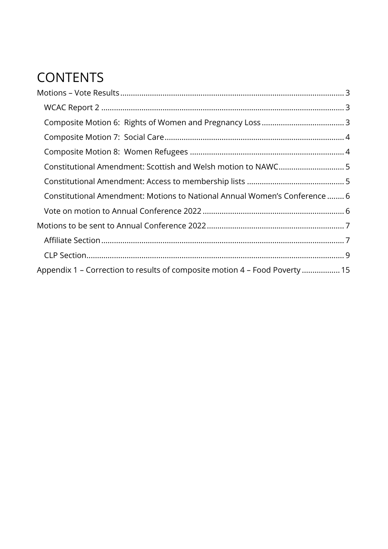## **CONTENTS**

<span id="page-1-0"></span>

| Constitutional Amendment: Motions to National Annual Women's Conference  6  |  |
|-----------------------------------------------------------------------------|--|
|                                                                             |  |
|                                                                             |  |
|                                                                             |  |
|                                                                             |  |
| Appendix 1 - Correction to results of composite motion 4 - Food Poverty  15 |  |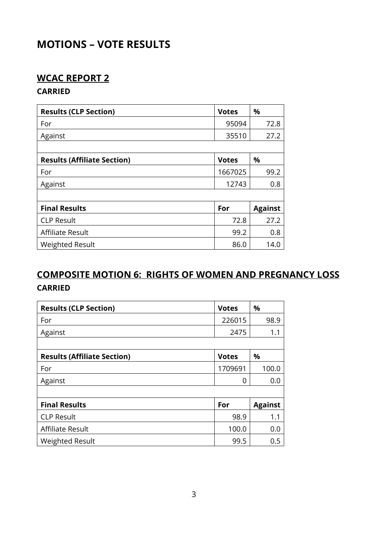## **MOTIONS – VOTE RESULTS**

## <span id="page-2-0"></span>**WCAC REPORT 2**

#### **CARRIED**

| <b>Results (CLP Section)</b>       | <b>Votes</b> | %              |
|------------------------------------|--------------|----------------|
| For                                | 95094        | 72.8           |
| Against                            | 35510        | 27.2           |
|                                    |              |                |
| <b>Results (Affiliate Section)</b> | <b>Votes</b> | %              |
| For                                | 1667025      | 99.2           |
| Against                            | 12743        | 0.8            |
|                                    |              |                |
| <b>Final Results</b>               | For          | <b>Against</b> |
| <b>CLP Result</b>                  | 72.8         | 27.2           |
| Affiliate Result                   | 99.2         | 0.8            |
| <b>Weighted Result</b>             | 86.0         | 14.0           |

## <span id="page-2-1"></span>**COMPOSITE MOTION 6: RIGHTS OF WOMEN AND PREGNANCY LOSS CARRIED**

| <b>Results (CLP Section)</b>       | <b>Votes</b> | %              |
|------------------------------------|--------------|----------------|
| For                                | 226015       | 98.9           |
| Against                            | 2475         | 1.1            |
|                                    |              |                |
| <b>Results (Affiliate Section)</b> | <b>Votes</b> | %              |
| For                                | 1709691      | 100.0          |
| Against                            | 0            | 0.0            |
|                                    |              |                |
| <b>Final Results</b>               | For          | <b>Against</b> |
| <b>CLP Result</b>                  | 98.9         | 1.1            |
| Affiliate Result                   | 100.0        | 0.0            |
| <b>Weighted Result</b>             | 99.5         | 0.5            |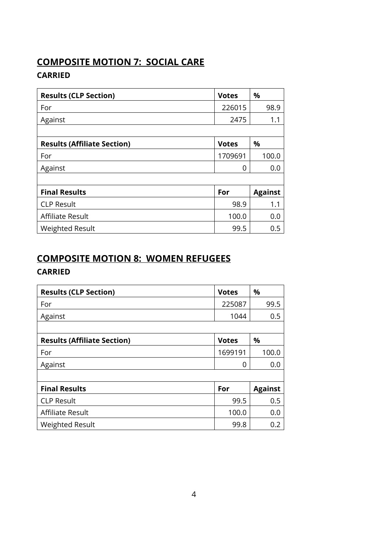## <span id="page-3-0"></span>**COMPOSITE MOTION 7: SOCIAL CARE**

#### **CARRIED**

| <b>Results (CLP Section)</b>       | <b>Votes</b> | %              |
|------------------------------------|--------------|----------------|
| For                                | 226015       | 98.9           |
| Against                            | 2475         | 1.1            |
|                                    |              |                |
| <b>Results (Affiliate Section)</b> | <b>Votes</b> | %              |
| For                                | 1709691      | 100.0          |
| Against                            | 0            | 0.0            |
|                                    |              |                |
| <b>Final Results</b>               | For          | <b>Against</b> |
| <b>CLP Result</b>                  | 98.9         | 1.1            |
| Affiliate Result                   | 100.0        | 0.0            |
| <b>Weighted Result</b>             | 99.5         | 0.5            |

## <span id="page-3-1"></span>**COMPOSITE MOTION 8: WOMEN REFUGEES**

## **CARRIED**

| <b>Results (CLP Section)</b>       | <b>Votes</b> | %              |
|------------------------------------|--------------|----------------|
| For                                | 225087       | 99.5           |
| Against                            | 1044         | 0.5            |
|                                    |              |                |
| <b>Results (Affiliate Section)</b> | <b>Votes</b> | %              |
| For                                | 1699191      | 100.0          |
| Against                            | 0            | 0.0            |
|                                    |              |                |
| <b>Final Results</b>               | For          | <b>Against</b> |
| <b>CLP Result</b>                  | 99.5         | 0.5            |
| Affiliate Result                   | 100.0        | 0.0            |
| <b>Weighted Result</b>             | 99.8         | 0.2            |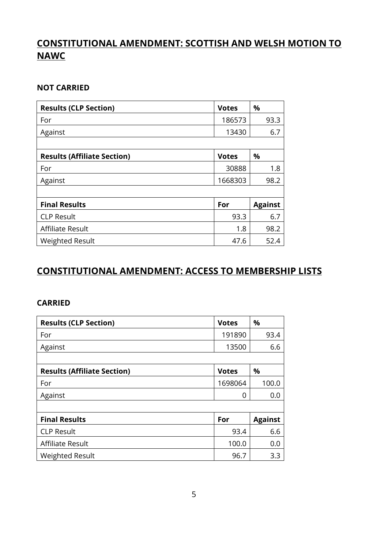## <span id="page-4-0"></span>**CONSTITUTIONAL AMENDMENT: SCOTTISH AND WELSH MOTION TO NAWC**

#### **NOT CARRIED**

| <b>Results (CLP Section)</b>       | <b>Votes</b> | %              |
|------------------------------------|--------------|----------------|
| For                                | 186573       | 93.3           |
| Against                            | 13430        | 6.7            |
|                                    |              |                |
| <b>Results (Affiliate Section)</b> | <b>Votes</b> | %              |
| For                                | 30888        | 1.8            |
| Against                            | 1668303      | 98.2           |
|                                    |              |                |
| <b>Final Results</b>               | For          | <b>Against</b> |
| <b>CLP Result</b>                  | 93.3         | 6.7            |
| Affiliate Result                   | 1.8          | 98.2           |
| <b>Weighted Result</b>             | 47.6         | 52.4           |

#### <span id="page-4-1"></span>**CONSTITUTIONAL AMENDMENT: ACCESS TO MEMBERSHIP LISTS**

#### **CARRIED**

| <b>Results (CLP Section)</b>       | <b>Votes</b> | %              |
|------------------------------------|--------------|----------------|
| For                                | 191890       | 93.4           |
| Against                            | 13500        | 6.6            |
|                                    |              |                |
| <b>Results (Affiliate Section)</b> | <b>Votes</b> | %              |
| For                                | 1698064      | 100.0          |
| Against                            | 0            | 0.0            |
|                                    |              |                |
| <b>Final Results</b>               | For          | <b>Against</b> |
| <b>CLP Result</b>                  | 93.4         | 6.6            |
| Affiliate Result                   | 100.0        | 0.0            |
| <b>Weighted Result</b>             | 96.7         | 3.3            |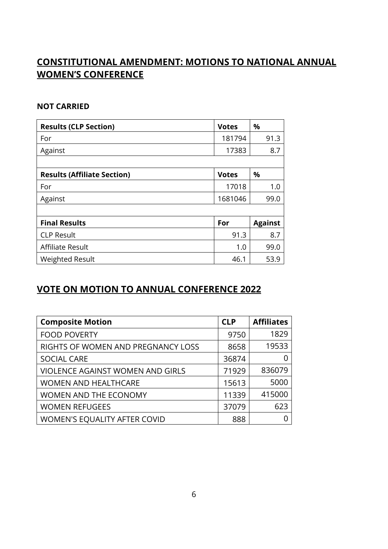## <span id="page-5-0"></span>**CONSTITUTIONAL AMENDMENT: MOTIONS TO NATIONAL ANNUAL WOMEN'S CONFERENCE**

#### **NOT CARRIED**

| <b>Results (CLP Section)</b>       | <b>Votes</b> | %              |
|------------------------------------|--------------|----------------|
| For                                | 181794       | 91.3           |
| Against                            | 17383        | 8.7            |
|                                    |              |                |
| <b>Results (Affiliate Section)</b> | <b>Votes</b> | %              |
| For                                | 17018        | 1.0            |
| Against                            | 1681046      | 99.0           |
|                                    |              |                |
| <b>Final Results</b>               | For          | <b>Against</b> |
| <b>CLP Result</b>                  | 91.3         | 8.7            |
| Affiliate Result                   | 1.0          | 99.0           |
| <b>Weighted Result</b>             | 46.1         | 53.9           |

#### <span id="page-5-1"></span>**VOTE ON MOTION TO ANNUAL CONFERENCE 2022**

| <b>Composite Motion</b>                 | <b>CLP</b> | <b>Affiliates</b> |
|-----------------------------------------|------------|-------------------|
| <b>FOOD POVERTY</b>                     | 9750       | 1829              |
| RIGHTS OF WOMEN AND PREGNANCY LOSS      | 8658       | 19533             |
| <b>SOCIAL CARE</b>                      | 36874      |                   |
| <b>VIOLENCE AGAINST WOMEN AND GIRLS</b> | 71929      | 836079            |
| <b>WOMEN AND HEALTHCARE</b>             | 15613      | 5000              |
| <b>WOMEN AND THE ECONOMY</b>            | 11339      | 415000            |
| <b>WOMEN REFUGEES</b>                   | 37079      | 623               |
| <b>WOMEN'S EQUALITY AFTER COVID</b>     | 888        |                   |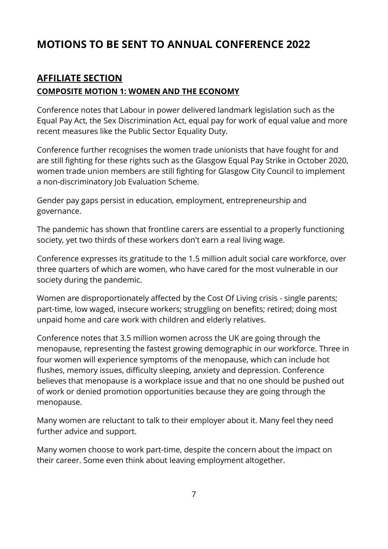## <span id="page-6-0"></span>**MOTIONS TO BE SENT TO ANNUAL CONFERENCE 2022**

## <span id="page-6-1"></span>**AFFILIATE SECTION**

#### **COMPOSITE MOTION 1: WOMEN AND THE ECONOMY**

Conference notes that Labour in power delivered landmark legislation such as the Equal Pay Act, the Sex Discrimination Act, equal pay for work of equal value and more recent measures like the Public Sector Equality Duty.

Conference further recognises the women trade unionists that have fought for and are still fighting for these rights such as the Glasgow Equal Pay Strike in October 2020, women trade union members are still fighting for Glasgow City Council to implement a non-discriminatory Job Evaluation Scheme.

Gender pay gaps persist in education, employment, entrepreneurship and governance.

The pandemic has shown that frontline carers are essential to a properly functioning society, yet two thirds of these workers don't earn a real living wage.

Conference expresses its gratitude to the 1.5 million adult social care workforce, over three quarters of which are women, who have cared for the most vulnerable in our society during the pandemic.

Women are disproportionately affected by the Cost Of Living crisis - single parents; part-time, low waged, insecure workers; struggling on benefits; retired; doing most unpaid home and care work with children and elderly relatives.

Conference notes that 3.5 million women across the UK are going through the menopause, representing the fastest growing demographic in our workforce. Three in four women will experience symptoms of the menopause, which can include hot flushes, memory issues, difficulty sleeping, anxiety and depression. Conference believes that menopause is a workplace issue and that no one should be pushed out of work or denied promotion opportunities because they are going through the menopause.

Many women are reluctant to talk to their employer about it. Many feel they need further advice and support.

Many women choose to work part-time, despite the concern about the impact on their career. Some even think about leaving employment altogether.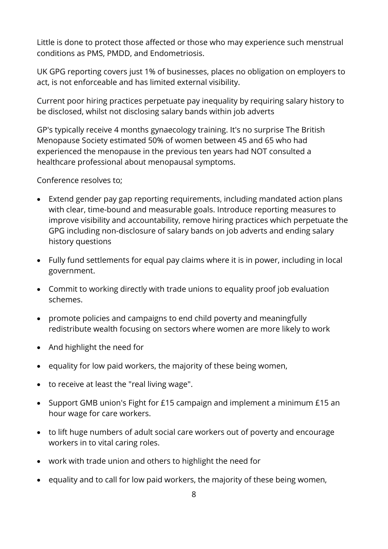Little is done to protect those affected or those who may experience such menstrual conditions as PMS, PMDD, and Endometriosis.

UK GPG reporting covers just 1% of businesses, places no obligation on employers to act, is not enforceable and has limited external visibility.

Current poor hiring practices perpetuate pay inequality by requiring salary history to be disclosed, whilst not disclosing salary bands within job adverts

GP's typically receive 4 months gynaecology training. It's no surprise The British Menopause Society estimated 50% of women between 45 and 65 who had experienced the menopause in the previous ten years had NOT consulted a healthcare professional about menopausal symptoms.

Conference resolves to;

- Extend gender pay gap reporting requirements, including mandated action plans with clear, time-bound and measurable goals. Introduce reporting measures to improve visibility and accountability, remove hiring practices which perpetuate the GPG including non-disclosure of salary bands on job adverts and ending salary history questions
- Fully fund settlements for equal pay claims where it is in power, including in local government.
- Commit to working directly with trade unions to equality proof job evaluation schemes.
- promote policies and campaigns to end child poverty and meaningfully redistribute wealth focusing on sectors where women are more likely to work
- And highlight the need for
- equality for low paid workers, the majority of these being women,
- to receive at least the "real living wage".
- Support GMB union's Fight for £15 campaign and implement a minimum £15 an hour wage for care workers.
- to lift huge numbers of adult social care workers out of poverty and encourage workers in to vital caring roles.
- work with trade union and others to highlight the need for
- equality and to call for low paid workers, the majority of these being women,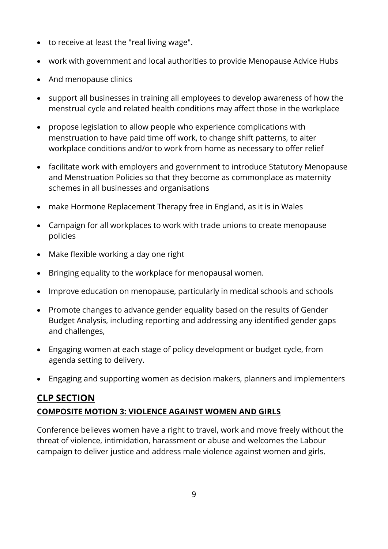- to receive at least the "real living wage".
- work with government and local authorities to provide Menopause Advice Hubs
- And menopause clinics
- support all businesses in training all employees to develop awareness of how the menstrual cycle and related health conditions may affect those in the workplace
- propose legislation to allow people who experience complications with menstruation to have paid time off work, to change shift patterns, to alter workplace conditions and/or to work from home as necessary to offer relief
- facilitate work with employers and government to introduce Statutory Menopause and Menstruation Policies so that they become as commonplace as maternity schemes in all businesses and organisations
- make Hormone Replacement Therapy free in England, as it is in Wales
- Campaign for all workplaces to work with trade unions to create menopause policies
- Make flexible working a day one right
- Bringing equality to the workplace for menopausal women.
- Improve education on menopause, particularly in medical schools and schools
- Promote changes to advance gender equality based on the results of Gender Budget Analysis, including reporting and addressing any identified gender gaps and challenges,
- Engaging women at each stage of policy development or budget cycle, from agenda setting to delivery.
- Engaging and supporting women as decision makers, planners and implementers

## <span id="page-8-0"></span>**CLP SECTION COMPOSITE MOTION 3: VIOLENCE AGAINST WOMEN AND GIRLS**

Conference believes women have a right to travel, work and move freely without the threat of violence, intimidation, harassment or abuse and welcomes the Labour campaign to deliver justice and address male violence against women and girls.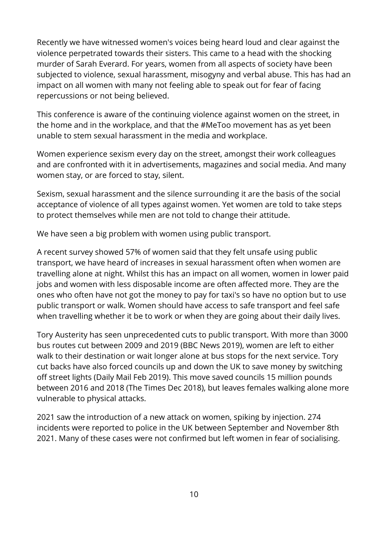Recently we have witnessed women's voices being heard loud and clear against the violence perpetrated towards their sisters. This came to a head with the shocking murder of Sarah Everard. For years, women from all aspects of society have been subjected to violence, sexual harassment, misogyny and verbal abuse. This has had an impact on all women with many not feeling able to speak out for fear of facing repercussions or not being believed.

This conference is aware of the continuing violence against women on the street, in the home and in the workplace, and that the #MeToo movement has as yet been unable to stem sexual harassment in the media and workplace.

Women experience sexism every day on the street, amongst their work colleagues and are confronted with it in advertisements, magazines and social media. And many women stay, or are forced to stay, silent.

Sexism, sexual harassment and the silence surrounding it are the basis of the social acceptance of violence of all types against women. Yet women are told to take steps to protect themselves while men are not told to change their attitude.

We have seen a big problem with women using public transport.

A recent survey showed 57% of women said that they felt unsafe using public transport, we have heard of increases in sexual harassment often when women are travelling alone at night. Whilst this has an impact on all women, women in lower paid jobs and women with less disposable income are often affected more. They are the ones who often have not got the money to pay for taxi's so have no option but to use public transport or walk. Women should have access to safe transport and feel safe when travelling whether it be to work or when they are going about their daily lives.

Tory Austerity has seen unprecedented cuts to public transport. With more than 3000 bus routes cut between 2009 and 2019 (BBC News 2019), women are left to either walk to their destination or wait longer alone at bus stops for the next service. Tory cut backs have also forced councils up and down the UK to save money by switching off street lights (Daily Mail Feb 2019). This move saved councils 15 million pounds between 2016 and 2018 (The Times Dec 2018), but leaves females walking alone more vulnerable to physical attacks.

2021 saw the introduction of a new attack on women, spiking by injection. 274 incidents were reported to police in the UK between September and November 8th 2021. Many of these cases were not confirmed but left women in fear of socialising.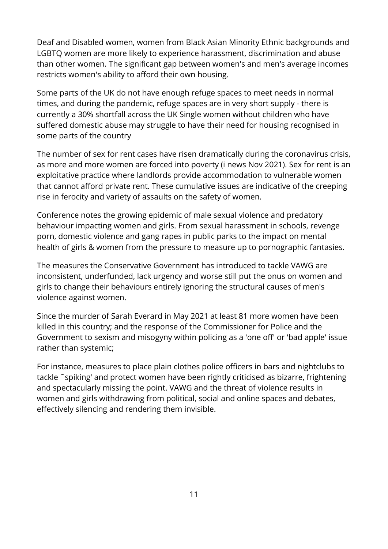Deaf and Disabled women, women from Black Asian Minority Ethnic backgrounds and LGBTQ women are more likely to experience harassment, discrimination and abuse than other women. The significant gap between women's and men's average incomes restricts women's ability to afford their own housing.

Some parts of the UK do not have enough refuge spaces to meet needs in normal times, and during the pandemic, refuge spaces are in very short supply - there is currently a 30% shortfall across the UK Single women without children who have suffered domestic abuse may struggle to have their need for housing recognised in some parts of the country

The number of sex for rent cases have risen dramatically during the coronavirus crisis, as more and more women are forced into poverty (i news Nov 2021). Sex for rent is an exploitative practice where landlords provide accommodation to vulnerable women that cannot afford private rent. These cumulative issues are indicative of the creeping rise in ferocity and variety of assaults on the safety of women.

Conference notes the growing epidemic of male sexual violence and predatory behaviour impacting women and girls. From sexual harassment in schools, revenge porn, domestic violence and gang rapes in public parks to the impact on mental health of girls & women from the pressure to measure up to pornographic fantasies.

The measures the Conservative Government has introduced to tackle VAWG are inconsistent, underfunded, lack urgency and worse still put the onus on women and girls to change their behaviours entirely ignoring the structural causes of men's violence against women.

Since the murder of Sarah Everard in May 2021 at least 81 more women have been killed in this country; and the response of the Commissioner for Police and the Government to sexism and misogyny within policing as a 'one off' or 'bad apple' issue rather than systemic;

For instance, measures to place plain clothes police officers in bars and nightclubs to tackle ˜spiking' and protect women have been rightly criticised as bizarre, frightening and spectacularly missing the point. VAWG and the threat of violence results in women and girls withdrawing from political, social and online spaces and debates, effectively silencing and rendering them invisible.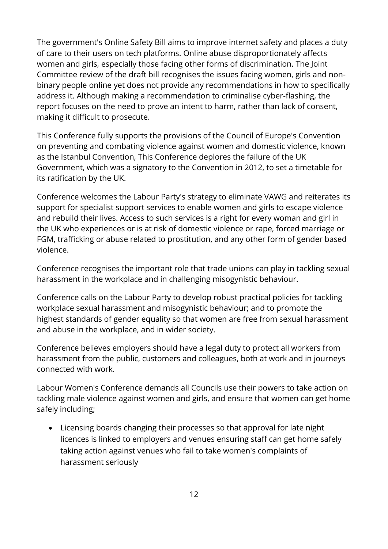The government's Online Safety Bill aims to improve internet safety and places a duty of care to their users on tech platforms. Online abuse disproportionately affects women and girls, especially those facing other forms of discrimination. The Joint Committee review of the draft bill recognises the issues facing women, girls and nonbinary people online yet does not provide any recommendations in how to specifically address it. Although making a recommendation to criminalise cyber-flashing, the report focuses on the need to prove an intent to harm, rather than lack of consent, making it difficult to prosecute.

This Conference fully supports the provisions of the Council of Europe's Convention on preventing and combating violence against women and domestic violence, known as the Istanbul Convention, This Conference deplores the failure of the UK Government, which was a signatory to the Convention in 2012, to set a timetable for its ratification by the UK.

Conference welcomes the Labour Party's strategy to eliminate VAWG and reiterates its support for specialist support services to enable women and girls to escape violence and rebuild their lives. Access to such services is a right for every woman and girl in the UK who experiences or is at risk of domestic violence or rape, forced marriage or FGM, trafficking or abuse related to prostitution, and any other form of gender based violence.

Conference recognises the important role that trade unions can play in tackling sexual harassment in the workplace and in challenging misogynistic behaviour.

Conference calls on the Labour Party to develop robust practical policies for tackling workplace sexual harassment and misogynistic behaviour; and to promote the highest standards of gender equality so that women are free from sexual harassment and abuse in the workplace, and in wider society.

Conference believes employers should have a legal duty to protect all workers from harassment from the public, customers and colleagues, both at work and in journeys connected with work.

Labour Women's Conference demands all Councils use their powers to take action on tackling male violence against women and girls, and ensure that women can get home safely including;

 Licensing boards changing their processes so that approval for late night licences is linked to employers and venues ensuring staff can get home safely taking action against venues who fail to take women's complaints of harassment seriously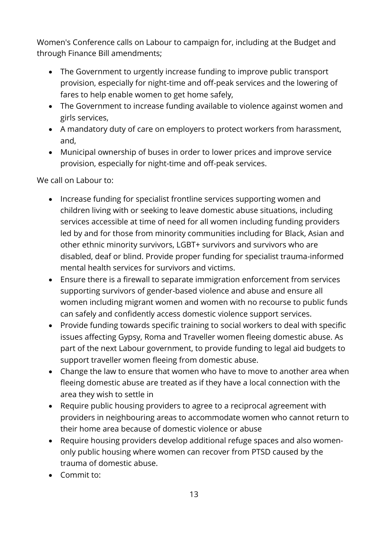Women's Conference calls on Labour to campaign for, including at the Budget and through Finance Bill amendments;

- The Government to urgently increase funding to improve public transport provision, especially for night-time and off-peak services and the lowering of fares to help enable women to get home safely,
- The Government to increase funding available to violence against women and girls services,
- A mandatory duty of care on employers to protect workers from harassment, and,
- Municipal ownership of buses in order to lower prices and improve service provision, especially for night-time and off-peak services.

We call on Labour to:

- Increase funding for specialist frontline services supporting women and children living with or seeking to leave domestic abuse situations, including services accessible at time of need for all women including funding providers led by and for those from minority communities including for Black, Asian and other ethnic minority survivors, LGBT+ survivors and survivors who are disabled, deaf or blind. Provide proper funding for specialist trauma-informed mental health services for survivors and victims.
- Ensure there is a firewall to separate immigration enforcement from services supporting survivors of gender-based violence and abuse and ensure all women including migrant women and women with no recourse to public funds can safely and confidently access domestic violence support services.
- Provide funding towards specific training to social workers to deal with specific issues affecting Gypsy, Roma and Traveller women fleeing domestic abuse. As part of the next Labour government, to provide funding to legal aid budgets to support traveller women fleeing from domestic abuse.
- Change the law to ensure that women who have to move to another area when fleeing domestic abuse are treated as if they have a local connection with the area they wish to settle in
- Require public housing providers to agree to a reciprocal agreement with providers in neighbouring areas to accommodate women who cannot return to their home area because of domestic violence or abuse
- Require housing providers develop additional refuge spaces and also womenonly public housing where women can recover from PTSD caused by the trauma of domestic abuse.
- Commit to: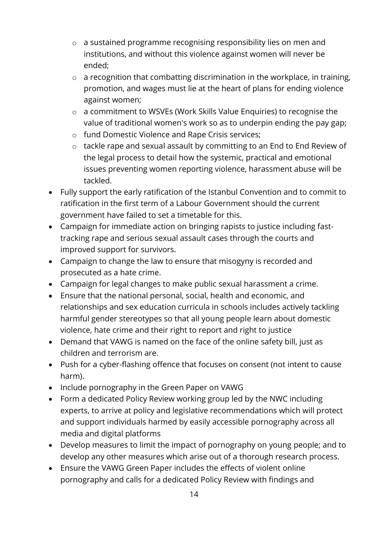- o a sustained programme recognising responsibility lies on men and institutions, and without this violence against women will never be ended;
- o a recognition that combatting discrimination in the workplace, in training, promotion, and wages must lie at the heart of plans for ending violence against women;
- o a commitment to WSVEs (Work Skills Value Enquiries) to recognise the value of traditional women's work so as to underpin ending the pay gap;
- o fund Domestic Violence and Rape Crisis services;
- o tackle rape and sexual assault by committing to an End to End Review of the legal process to detail how the systemic, practical and emotional issues preventing women reporting violence, harassment abuse will be tackled.
- Fully support the early ratification of the Istanbul Convention and to commit to ratification in the first term of a Labour Government should the current government have failed to set a timetable for this.
- Campaign for immediate action on bringing rapists to justice including fasttracking rape and serious sexual assault cases through the courts and improved support for survivors.
- Campaign to change the law to ensure that misogyny is recorded and prosecuted as a hate crime.
- Campaign for legal changes to make public sexual harassment a crime.
- Ensure that the national personal, social, health and economic, and relationships and sex education curricula in schools includes actively tackling harmful gender stereotypes so that all young people learn about domestic violence, hate crime and their right to report and right to justice
- Demand that VAWG is named on the face of the online safety bill, just as children and terrorism are.
- Push for a cyber-flashing offence that focuses on consent (not intent to cause harm).
- Include pornography in the Green Paper on VAWG
- Form a dedicated Policy Review working group led by the NWC including experts, to arrive at policy and legislative recommendations which will protect and support individuals harmed by easily accessible pornography across all media and digital platforms
- Develop measures to limit the impact of pornography on young people; and to develop any other measures which arise out of a thorough research process.
- Ensure the VAWG Green Paper includes the effects of violent online pornography and calls for a dedicated Policy Review with findings and